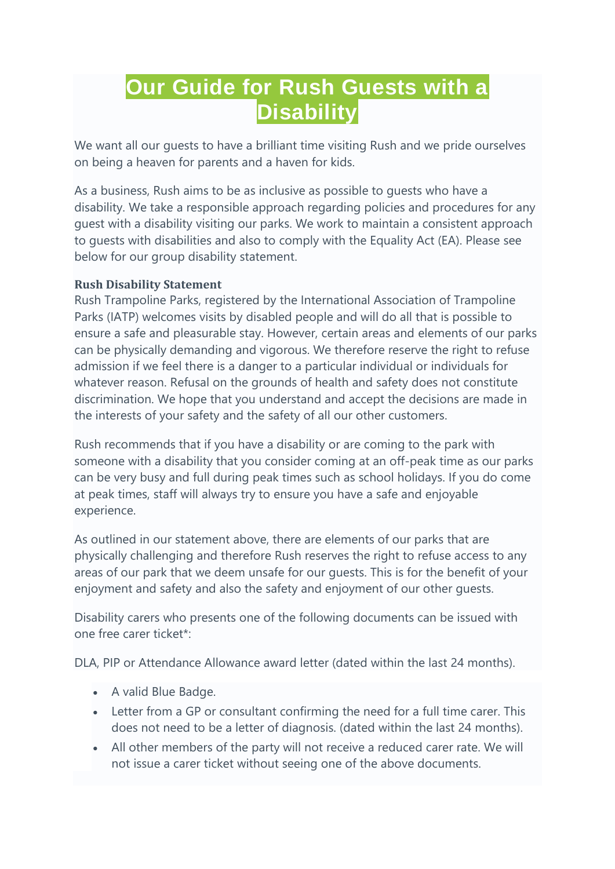# **Our Guide for Rush Guests with a Disability**

We want all our guests to have a brilliant time visiting Rush and we pride ourselves on being a heaven for parents and a haven for kids.

As a business, Rush aims to be as inclusive as possible to guests who have a disability. We take a responsible approach regarding policies and procedures for any guest with a disability visiting our parks. We work to maintain a consistent approach to guests with disabilities and also to comply with the Equality Act (EA). Please see below for our group disability statement.

## **Rush Disability Statement**

Rush Trampoline Parks, registered by the International Association of Trampoline Parks (IATP) welcomes visits by disabled people and will do all that is possible to ensure a safe and pleasurable stay. However, certain areas and elements of our parks can be physically demanding and vigorous. We therefore reserve the right to refuse admission if we feel there is a danger to a particular individual or individuals for whatever reason. Refusal on the grounds of health and safety does not constitute discrimination. We hope that you understand and accept the decisions are made in the interests of your safety and the safety of all our other customers.

Rush recommends that if you have a disability or are coming to the park with someone with a disability that you consider coming at an off-peak time as our parks can be very busy and full during peak times such as school holidays. If you do come at peak times, staff will always try to ensure you have a safe and enjoyable experience.

As outlined in our statement above, there are elements of our parks that are physically challenging and therefore Rush reserves the right to refuse access to any areas of our park that we deem unsafe for our guests. This is for the benefit of your enjoyment and safety and also the safety and enjoyment of our other guests.

Disability carers who presents one of the following documents can be issued with one free carer ticket\*:

DLA, PIP or Attendance Allowance award letter (dated within the last 24 months).

- A valid Blue Badge.
- Letter from a GP or consultant confirming the need for a full time carer. This does not need to be a letter of diagnosis. (dated within the last 24 months).
- All other members of the party will not receive a reduced carer rate. We will not issue a carer ticket without seeing one of the above documents.